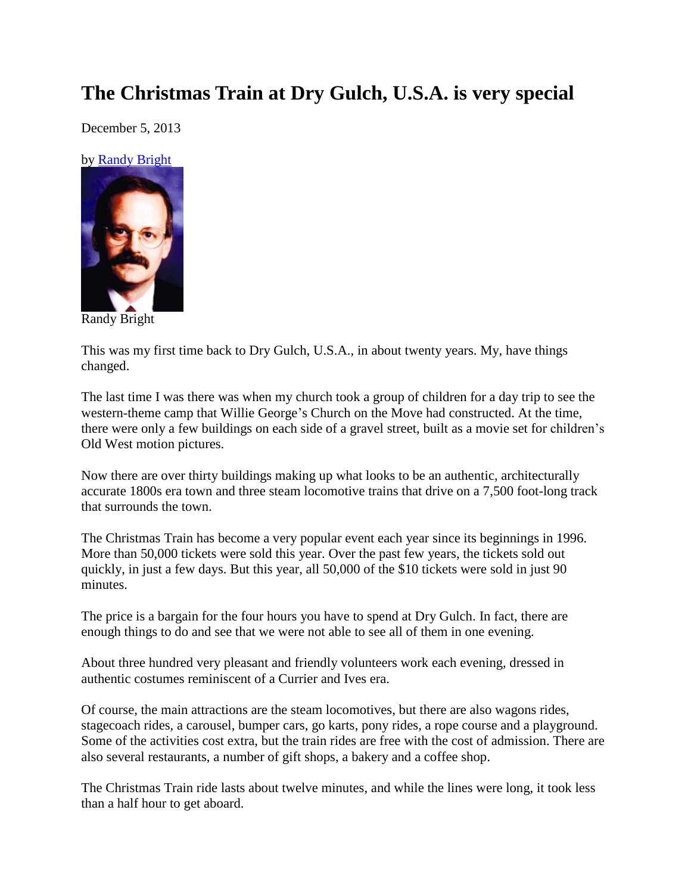## **The Christmas Train at Dry Gulch, U.S.A. is very special**

December 5, 2013

by [Randy Bright](http://tulsabeacon.com/writers/randy-bright/)



Randy Bright

This was my first time back to Dry Gulch, U.S.A., in about twenty years. My, have things changed.

The last time I was there was when my church took a group of children for a day trip to see the western-theme camp that Willie George's Church on the Move had constructed. At the time, there were only a few buildings on each side of a gravel street, built as a movie set for children's Old West motion pictures.

Now there are over thirty buildings making up what looks to be an authentic, architecturally accurate 1800s era town and three steam locomotive trains that drive on a 7,500 foot-long track that surrounds the town.

The Christmas Train has become a very popular event each year since its beginnings in 1996. More than 50,000 tickets were sold this year. Over the past few years, the tickets sold out quickly, in just a few days. But this year, all 50,000 of the \$10 tickets were sold in just 90 minutes.

The price is a bargain for the four hours you have to spend at Dry Gulch. In fact, there are enough things to do and see that we were not able to see all of them in one evening.

About three hundred very pleasant and friendly volunteers work each evening, dressed in authentic costumes reminiscent of a Currier and Ives era.

Of course, the main attractions are the steam locomotives, but there are also wagons rides, stagecoach rides, a carousel, bumper cars, go karts, pony rides, a rope course and a playground. Some of the activities cost extra, but the train rides are free with the cost of admission. There are also several restaurants, a number of gift shops, a bakery and a coffee shop.

The Christmas Train ride lasts about twelve minutes, and while the lines were long, it took less than a half hour to get aboard.